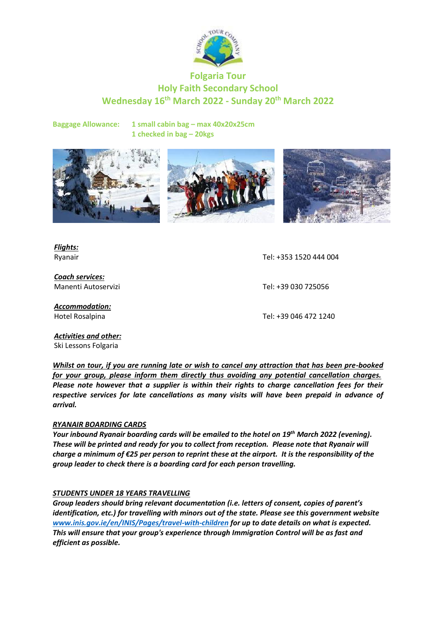

# **Folgaria Tour Holy Faith Secondary School Wednesday 16 th March 2022 - Sunday 20th March 2022**

**Baggage Allowance: 1 small cabin bag – max 40x20x25cm 1 checked in bag – 20kgs**



*Flights:*

*Coach services:* Manenti Autoservizi Tel: +39 030 725056

*Accommodation:*

Ryanair Tel: +353 1520 444 004

Hotel Rosalpina Tel: +39 046 472 1240

*Activities and other:* Ski Lessons Folgaria

*Whilst on tour, if you are running late or wish to cancel any attraction that has been pre-booked for your group, please inform them directly thus avoiding any potential cancellation charges. Please note however that a supplier is within their rights to charge cancellation fees for their respective services for late cancellations as many visits will have been prepaid in advance of arrival.*

### *RYANAIR BOARDING CARDS*

*Your inbound Ryanair boarding cards will be emailed to the hotel on 19th March 2022 (evening). These will be printed and ready for you to collect from reception. Please note that Ryanair will charge a minimum of €25 per person to reprint these at the airport. It is the responsibility of the group leader to check there is a boarding card for each person travelling.*

### *STUDENTS UNDER 18 YEARS TRAVELLING*

*Group leaders should bring relevant documentation (i.e. letters of consent, copies of parent's identification, etc.) for travelling with minors out of the state. Please see this government website [www.inis.gov.ie/en/INIS/Pages/travel-with-children](http://www.inis.gov.ie/en/INIS/Pages/travel-with-children) for up to date details on what is expected. This will ensure that your group's experience through Immigration Control will be as fast and efficient as possible.*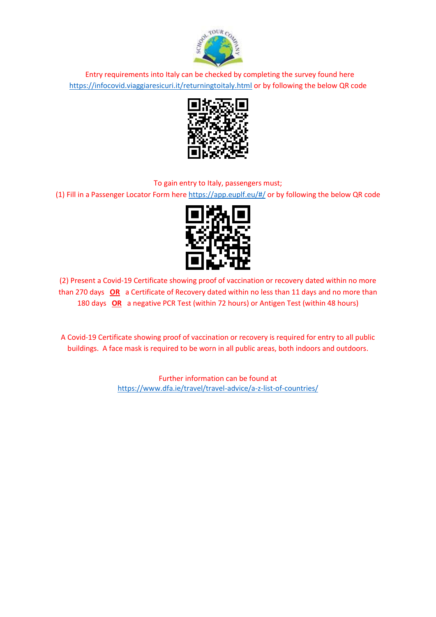

Entry requirements into Italy can be checked by completing the survey found here <https://infocovid.viaggiaresicuri.it/returningtoitaly.html> or by following the below QR code



### To gain entry to Italy, passengers must;

(1) Fill in a Passenger Locator Form her[e https://app.euplf.eu/#/](https://app.euplf.eu/#/) or by following the below QR code



(2) Present a Covid-19 Certificate showing proof of vaccination or recovery dated within no more than 270 days **OR** a Certificate of Recovery dated within no less than 11 days and no more than 180 days **OR** a negative PCR Test (within 72 hours) or Antigen Test (within 48 hours)

A Covid-19 Certificate showing proof of vaccination or recovery is required for entry to all public buildings. A face mask is required to be worn in all public areas, both indoors and outdoors.

> Further information can be found at <https://www.dfa.ie/travel/travel-advice/a-z-list-of-countries/>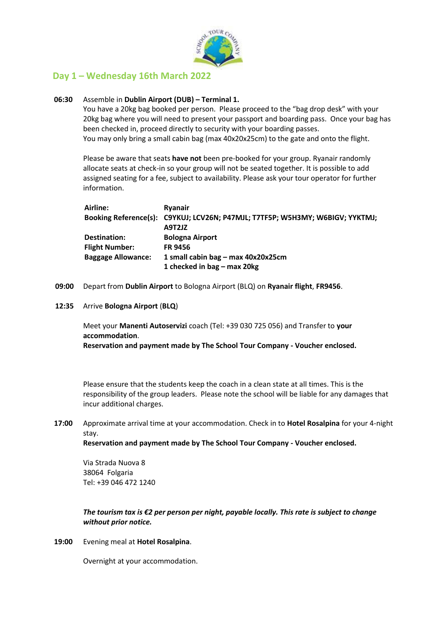

## **Day 1 – Wednesday 16th March 2022**

#### **06:30** Assemble in **Dublin Airport (DUB) – Terminal 1.**

You have a 20kg bag booked per person. Please proceed to the "bag drop desk" with your 20kg bag where you will need to present your passport and boarding pass. Once your bag has been checked in, proceed directly to security with your boarding passes. You may only bring a small cabin bag (max 40x20x25cm) to the gate and onto the flight.

Please be aware that seats **have not** been pre-booked for your group. Ryanair randomly allocate seats at check-in so your group will not be seated together. It is possible to add assigned seating for a fee, subject to availability. Please ask your tour operator for further information.

| Airline:                  | <b>Ryanair</b>                                                                |
|---------------------------|-------------------------------------------------------------------------------|
|                           | Booking Reference(s): C9YKUJ; LCV26N; P47MJL; T7TF5P; W5H3MY; W6BIGV; YYKTMJ; |
|                           | A9T2JZ                                                                        |
| Destination:              | <b>Bologna Airport</b>                                                        |
| <b>Flight Number:</b>     | <b>FR 9456</b>                                                                |
| <b>Baggage Allowance:</b> | 1 small cabin bag - max 40x20x25cm                                            |
|                           | 1 checked in bag – max 20kg                                                   |

- **09:00** Depart from **Dublin Airport** to Bologna Airport (BLQ) on **Ryanair flight**, **FR9456**.
- **12:35** Arrive **Bologna Airport** (**BLQ**)

Meet your **Manenti Autoservizi** coach (Tel: +39 030 725 056) and Transfer to **your accommodation**.

**Reservation and payment made by The School Tour Company - Voucher enclosed.**

Please ensure that the students keep the coach in a clean state at all times. This is the responsibility of the group leaders. Please note the school will be liable for any damages that incur additional charges.

**17:00** Approximate arrival time at your accommodation. Check in to **Hotel Rosalpina** for your 4-night stay.

**Reservation and payment made by The School Tour Company - Voucher enclosed.**

Via Strada Nuova 8 38064 Folgaria Tel: +39 046 472 1240

*The tourism tax is €2 per person per night, payable locally. This rate is subject to change without prior notice.*

**19:00** Evening meal at **Hotel Rosalpina**.

Overnight at your accommodation.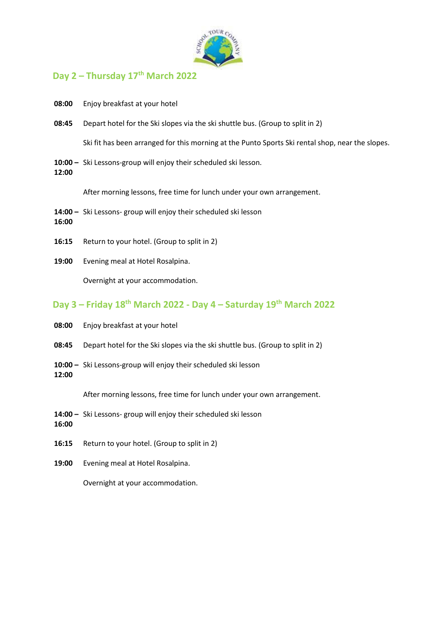

## **Day 2 – Thursday 17th March 2022**

- **08:00** Enjoy breakfast at your hotel
- **08:45** Depart hotel for the Ski slopes via the ski shuttle bus. (Group to split in 2)

Ski fit has been arranged for this morning at the Punto Sports Ski rental shop, near the slopes.

**10:00 –** Ski Lessons-group will enjoy their scheduled ski lesson. **12:00**

After morning lessons, free time for lunch under your own arrangement.

- **14:00 –** Ski Lessons- group will enjoy their scheduled ski lesson **16:00**
- **16:15** Return to your hotel. (Group to split in 2)
- **19:00** Evening meal at Hotel Rosalpina.

Overnight at your accommodation.

# **Day 3 – Friday 18th March 2022 - Day 4 – Saturday 19th March 2022**

- **08:00** Enjoy breakfast at your hotel
- **08:45** Depart hotel for the Ski slopes via the ski shuttle bus. (Group to split in 2)
- **10:00 –** Ski Lessons-group will enjoy their scheduled ski lesson **12:00**

After morning lessons, free time for lunch under your own arrangement.

- **14:00 –** Ski Lessons- group will enjoy their scheduled ski lesson
- **16:00**
- **16:15** Return to your hotel. (Group to split in 2)
- **19:00** Evening meal at Hotel Rosalpina.

Overnight at your accommodation.